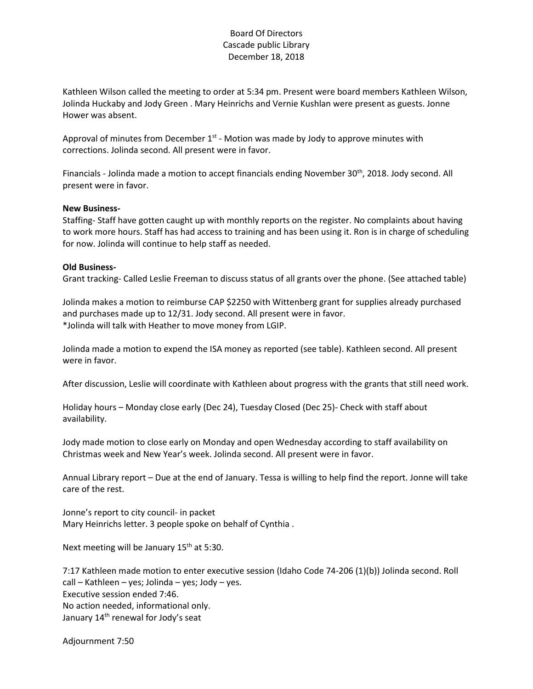## Board Of Directors Cascade public Library December 18, 2018

Kathleen Wilson called the meeting to order at 5:34 pm. Present were board members Kathleen Wilson, Jolinda Huckaby and Jody Green . Mary Heinrichs and Vernie Kushlan were present as guests. Jonne Hower was absent.

Approval of minutes from December  $1<sup>st</sup>$  - Motion was made by Jody to approve minutes with corrections. Jolinda second. All present were in favor.

Financials - Jolinda made a motion to accept financials ending November 30<sup>th</sup>, 2018. Jody second. All present were in favor.

## **New Business-**

Staffing- Staff have gotten caught up with monthly reports on the register. No complaints about having to work more hours. Staff has had access to training and has been using it. Ron is in charge of scheduling for now. Jolinda will continue to help staff as needed.

## **Old Business-**

Grant tracking- Called Leslie Freeman to discuss status of all grants over the phone. (See attached table)

Jolinda makes a motion to reimburse CAP \$2250 with Wittenberg grant for supplies already purchased and purchases made up to 12/31. Jody second. All present were in favor. \*Jolinda will talk with Heather to move money from LGIP.

Jolinda made a motion to expend the ISA money as reported (see table). Kathleen second. All present were in favor.

After discussion, Leslie will coordinate with Kathleen about progress with the grants that still need work.

Holiday hours – Monday close early (Dec 24), Tuesday Closed (Dec 25)- Check with staff about availability.

Jody made motion to close early on Monday and open Wednesday according to staff availability on Christmas week and New Year's week. Jolinda second. All present were in favor.

Annual Library report – Due at the end of January. Tessa is willing to help find the report. Jonne will take care of the rest.

Jonne's report to city council- in packet Mary Heinrichs letter. 3 people spoke on behalf of Cynthia .

Next meeting will be January  $15<sup>th</sup>$  at 5:30.

7:17 Kathleen made motion to enter executive session (Idaho Code 74-206 (1)(b)) Jolinda second. Roll call – Kathleen – yes; Jolinda – yes; Jody – yes. Executive session ended 7:46. No action needed, informational only. January 14<sup>th</sup> renewal for Jody's seat

Adjournment 7:50